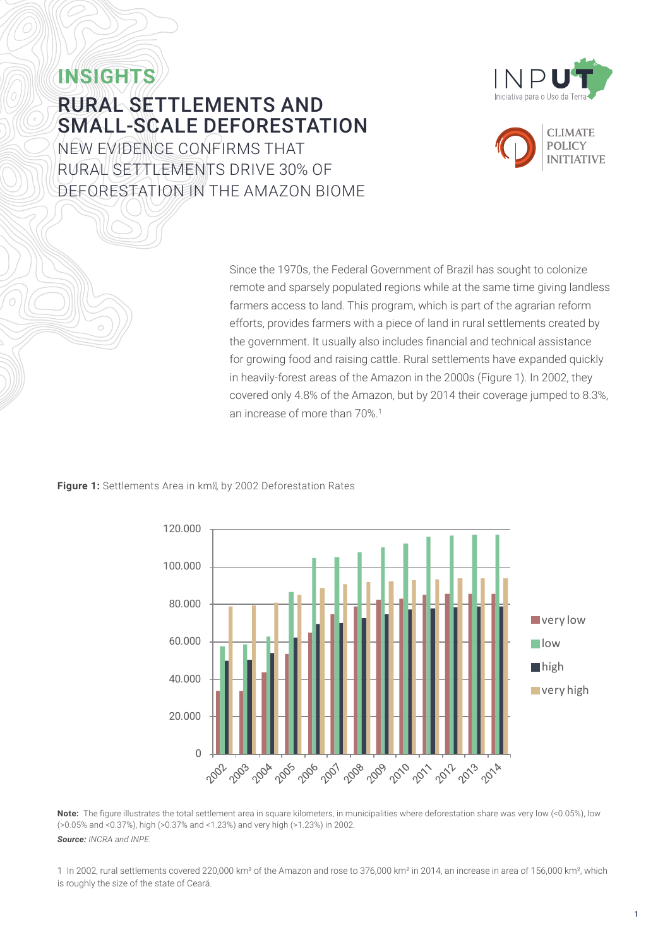

# **INSIGHTS** RURAL SETTLEMENTS AND SMALL-SCALE DEFORESTATION

NEW EVIDENCE CONFIRMS THAT RURAL SETTLEMENTS DRIVE 30% OF DEFORESTATION IN THE AMAZON BIOME



Since the 1970s, the Federal Government of Brazil has sought to colonize remote and sparsely populated regions while at the same time giving landless farmers access to land. This program, which is part of the agrarian reform efforts, provides farmers with a piece of land in rural settlements created by the government. It usually also includes financial and technical assistance for growing food and raising cattle. Rural settlements have expanded quickly in heavily-forest areas of the Amazon in the 2000s (Figure 1). In 2002, they covered only 4.8% of the Amazon, but by 2014 their coverage jumped to 8.3%, an increase of more than 70%.1

### **Figure 1:** Settlements Area in km², by 2002 Deforestation Rates



**Note:** The figure illustrates the total settlement area in square kilometers, in municipalities where deforestation share was very low (<0.05%), low (>0.05% and <0.37%), high (>0.37% and <1.23%) and very high (>1.23%) in 2002. *Source: INCRA and INPE.*

1 In 2002, rural settlements covered 220,000 km² of the Amazon and rose to 376,000 km² in 2014, an increase in area of 156,000 km², which is roughly the size of the state of Ceará.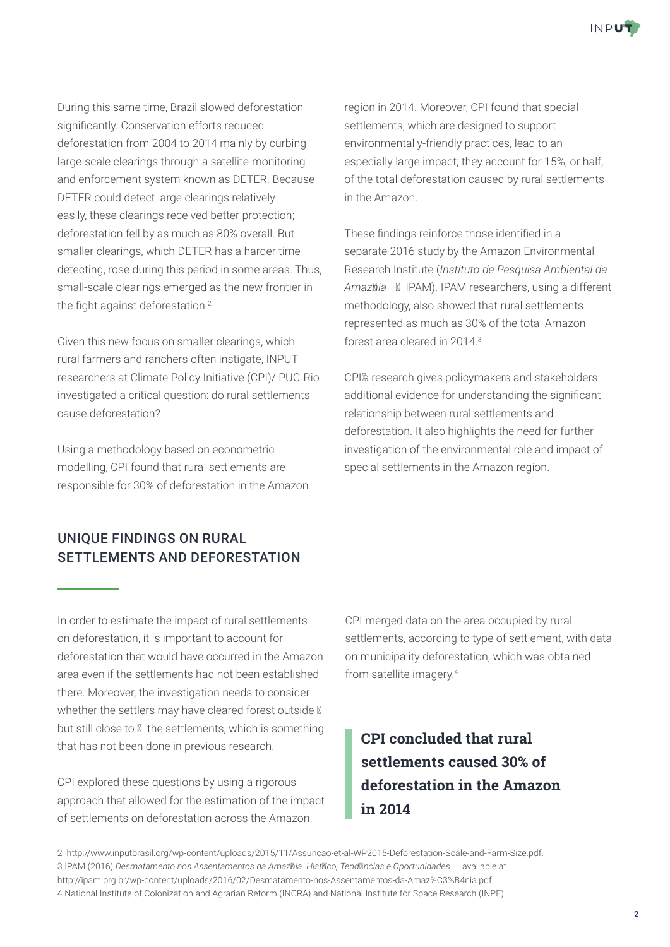

During this same time, Brazil slowed deforestation significantly. Conservation efforts reduced deforestation from 2004 to 2014 mainly by curbing large-scale clearings through a satellite-monitoring and enforcement system known as DETER. Because DETER could detect large clearings relatively easily, these clearings received better protection; deforestation fell by as much as 80% overall. But smaller clearings, which DETER has a harder time detecting, rose during this period in some areas. Thus, small-scale clearings emerged as the new frontier in the fight against deforestation.<sup>2</sup>

Given this new focus on smaller clearings, which rural farmers and ranchers often instigate, INPUT researchers at Climate Policy Initiative (CPI)/ PUC-Rio investigated a critical question: do rural settlements cause deforestation?

Using a methodology based on econometric modelling, CPI found that rural settlements are responsible for 30% of deforestation in the Amazon

### UNIQUE FINDINGS ON RURAL SETTLEMENTS AND DEFORESTATION

region in 2014. Moreover, CPI found that special settlements, which are designed to support environmentally-friendly practices, lead to an especially large impact; they account for 15%, or half, of the total deforestation caused by rural settlements in the Amazon.

These findings reinforce those identified in a separate 2016 study by the Amazon Environmental Research Institute (*Instituto de Pesquisa Ambiental da*  Amazôia – IPAM). IPAM researchers, using a different methodology, also showed that rural settlements represented as much as 30% of the total Amazon forest area cleared in 2014<sup>3</sup>

CPI's research gives policymakers and stakeholders additional evidence for understanding the significant relationship between rural settlements and deforestation. It also highlights the need for further investigation of the environmental role and impact of special settlements in the Amazon region.

In order to estimate the impact of rural settlements on deforestation, it is important to account for deforestation that would have occurred in the Amazon area even if the settlements had not been established there. Moreover, the investigation needs to consider whether the settlers may have cleared forest outside – but still close to – the settlements, which is something that has not been done in previous research.

CPI explored these questions by using a rigorous approach that allowed for the estimation of the impact of settlements on deforestation across the Amazon.

CPI merged data on the area occupied by rural settlements, according to type of settlement, with data on municipality deforestation, which was obtained from satellite imagery.4

### **CPI concluded that rural settlements caused 30% of deforestation in the Amazon in 2014**

2 <http://www.inputbrasil.org/wp-content/uploads/2015/11/Assuncao-et-al-WP2015-Deforestation-Scale-and-Farm-Size.pdf>. 3 IPAM (2016) *Desmatamento nos Assentamentos da Amazônia. Histórico, Tendências e Oportunidades* available at <http://ipam.org.br/wp-content/uploads/2016/02/Desmatamento-nos-Assentamentos-da-Amaz%C3%B4nia.pdf>. 4 National Institute of Colonization and Agrarian Reform (INCRA) and National Institute for Space Research (INPE).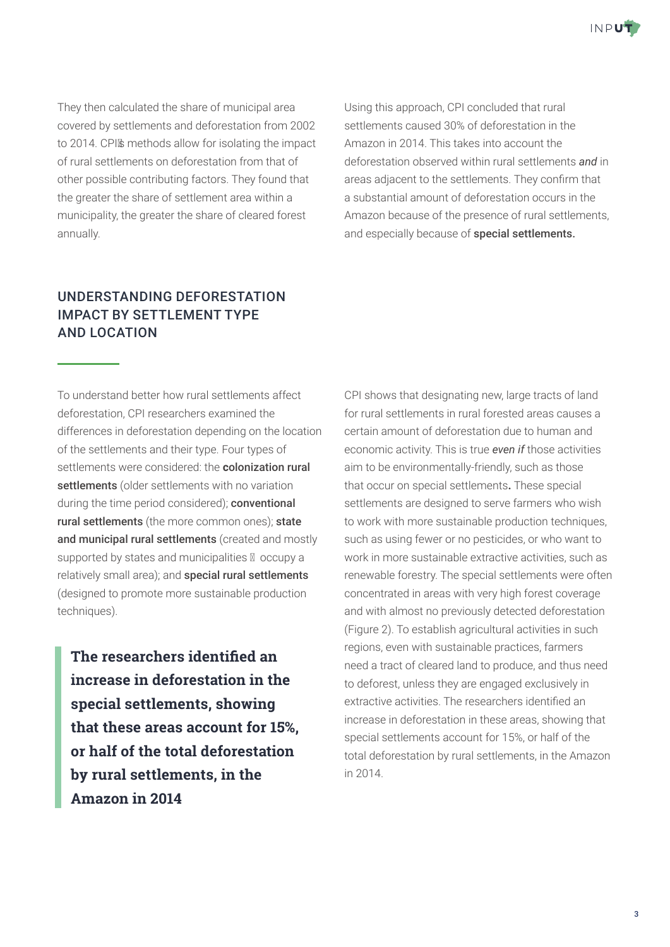

They then calculated the share of municipal area covered by settlements and deforestation from 2002 to 2014. CPI's methods allow for isolating the impact of rural settlements on deforestation from that of other possible contributing factors. They found that the greater the share of settlement area within a municipality, the greater the share of cleared forest annually.

Using this approach, CPI concluded that rural settlements caused 30% of deforestation in the Amazon in 2014. This takes into account the deforestation observed within rural settlements *and* in areas adjacent to the settlements. They confirm that a substantial amount of deforestation occurs in the Amazon because of the presence of rural settlements, and especially because of special settlements.

### UNDERSTANDING DEFORESTATION IMPACT BY SETTLEMENT TYPE AND LOCATION

To understand better how rural settlements affect deforestation, CPI researchers examined the differences in deforestation depending on the location of the settlements and their type. Four types of settlements were considered: the **c**olonization rural settlements (older settlements with no variation during the time period considered); **conventional** rural settlements (the more common ones); state and municipal rural settlements (created and mostly supported by states and municipalities – occupy a relatively small area); and **special rural settlements** (designed to promote more sustainable production techniques).

**The researchers identified an increase in deforestation in the special settlements, showing that these areas account for 15%, or half of the total deforestation by rural settlements, in the Amazon in 2014** 

CPI shows that designating new, large tracts of land for rural settlements in rural forested areas causes a certain amount of deforestation due to human and economic activity. This is true *even if* those activities aim to be environmentally-friendly, such as those that occur on special settlements**.** These special settlements are designed to serve farmers who wish to work with more sustainable production techniques, such as using fewer or no pesticides, or who want to work in more sustainable extractive activities, such as renewable forestry. The special settlements were often concentrated in areas with very high forest coverage and with almost no previously detected deforestation (Figure 2). To establish agricultural activities in such regions, even with sustainable practices, farmers need a tract of cleared land to produce, and thus need to deforest, unless they are engaged exclusively in extractive activities. The researchers identified an increase in deforestation in these areas, showing that special settlements account for 15%, or half of the total deforestation by rural settlements, in the Amazon in 2014.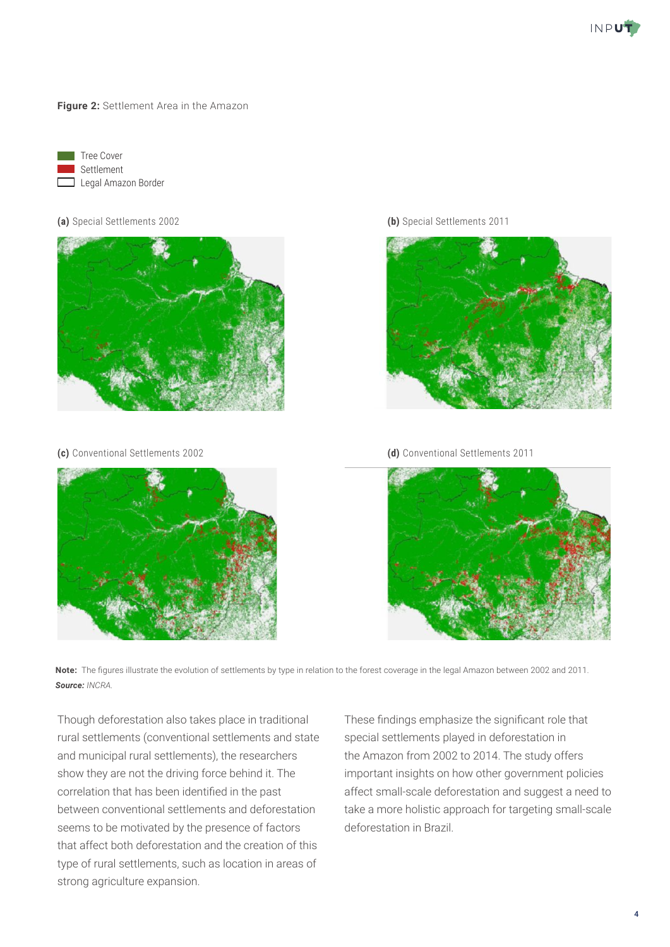

**Figure 2:** Settlement Area in the Amazon



#### **(a)** Special Settlements 2002





**(b)** Special Settlements 2011



**(c)** Conventional Settlements 2002 **(d)** Conventional Settlements 2011



**Note:** The figures illustrate the evolution of settlements by type in relation to the forest coverage in the legal Amazon between 2002 and 2011. *Source: INCRA.*

Though deforestation also takes place in traditional rural settlements (conventional settlements and state and municipal rural settlements), the researchers show they are not the driving force behind it. The correlation that has been identified in the past between conventional settlements and deforestation seems to be motivated by the presence of factors that affect both deforestation and the creation of this type of rural settlements, such as location in areas of strong agriculture expansion.

These findings emphasize the significant role that special settlements played in deforestation in the Amazon from 2002 to 2014. The study offers important insights on how other government policies affect small-scale deforestation and suggest a need to take a more holistic approach for targeting small-scale deforestation in Brazil.